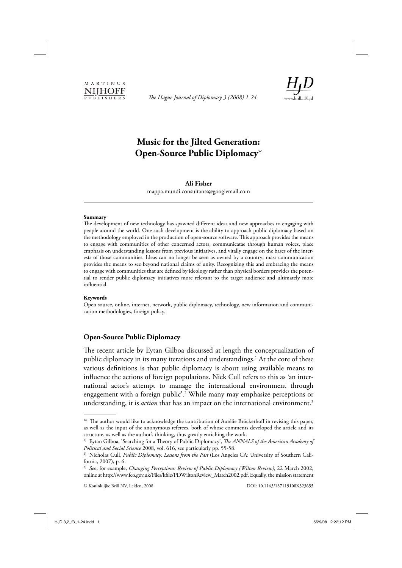

*The Hague Journal of Diplomacy* 3 (2008) 1-24



# **Music for the Jilted Generation: Open-Source Public Diplomacy**\*

#### **Ali Fisher**

mappa.mundi.consultants@googlemail.com

#### **Summary**

The development of new technology has spawned different ideas and new approaches to engaging with people around the world. One such development is the ability to approach public diplomacy based on the methodology employed in the production of open-source software. This approach provides the means to engage with communities of other concerned actors, communicatae through human voices, place emphasis on understanding lessons from previous initiatives, and vitally engage on the bases of the interests of those communities. Ideas can no longer be seen as owned by a country; mass communication provides the means to see beyond national claims of unity. Recognizing this and embracing the means to engage with communities that are defined by ideology rather than physical borders provides the potential to render public diplomacy initiatives more relevant to the target audience and ultimately more influential.

#### **Keywords**

 Open source, online, internet, network, public diplomacy, technology, new information and communication methodologies, foreign policy.

# **Open-Source Public Diplomacy**

The recent article by Eytan Gilboa discussed at length the conceptualization of public diplomacy in its many iterations and understandings.<sup>1</sup> At the core of these various definitions is that public diplomacy is about using available means to influence the actions of foreign populations. Nick Cull refers to this as 'an international actor's attempt to manage the international environment through engagement with a foreign public'.2 While many may emphasize perceptions or understanding, it is *action* that has an impact on the international environment.<sup>3</sup>

© Koninklijke Brill NV, Leiden, 2008 DOI: 10.1163/187119108X323655

<sup>\*)</sup> The author would like to acknowledge the contribution of Aurélie Bröckerhoff in revising this paper, as well as the input of the anonymous referees, both of whose comments developed the article and its structure, as well as the author's thinking, thus greatly enriching the work.

<sup>&</sup>lt;sup>1)</sup> Eytan Gilboa, 'Searching for a Theory of Public Diplomacy', *The ANNALS of the American Academy of Political and Social Science* 2008, vol. 616, see particularly pp. 55-58. 2) Nicholas Cull, *Public Diplomacy: Lessons from the Past* (Los Angeles CA: University of Southern Cali-

fornia, 2007), p. 6.

<sup>3)</sup> See, for example, *Changing Perceptions: Review of Public Diplomacy (Wilton Review)*, 22 March 2002, online at http://www.fco.gov.uk/Files/kfile/PDWiltonReview\_March2002.pdf. Equally, the mission statement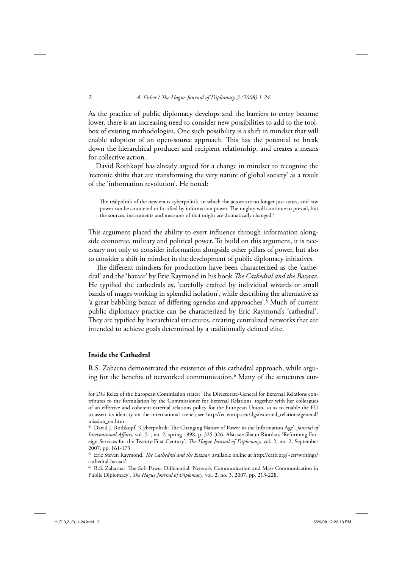As the practice of public diplomacy develops and the barriers to entry become lower, there is an increasing need to consider new possibilities to add to the toolbox of existing methodologies. One such possibility is a shift in mindset that will enable adoption of an open-source approach. This has the potential to break down the hierarchical producer and recipient relationship, and creates a means for collective action.

 David Rothkopf has already argued for a change in mindset to recognize the 'tectonic shifts that are transforming the very nature of global society' as a result of the 'information revolution'. He noted:

The realpolitik of the new era is cyberpolitik, in which the actors are no longer just states, and raw power can be countered or fortified by information power. The mighty will continue to prevail, but the sources, instruments and measures of that might are dramatically changed.<sup>4</sup>

This argument placed the ability to exert influence through information alongside economic, military and political power. To build on this argument, it is necessary not only to consider information alongside other pillars of power, but also to consider a shift in mindset in the development of public diplomacy initiatives.

The different mindsets for production have been characterized as the 'cathedral' and the 'bazaar' by Eric Raymond in his book *The Cathedral and the Bazaar*. He typified the cathedrals as, 'carefully crafted by individual wizards or small bands of mages working in splendid isolation', while describing the alternative as 'a great babbling bazaar of differing agendas and approaches'.5 Much of current public diplomacy practice can be characterized by Eric Raymond's 'cathedral'. They are typified by hierarchical structures, creating centralized networks that are intended to achieve goals determined by a traditionally defined elite.

## **Inside the Cathedral**

 R.S. Zaharna demonstrated the existence of this cathedral approach, while arguing for the benefits of networked communication.<sup>6</sup> Many of the structures cur-

for DG Relex of the European Commission states: 'The Directorate-General for External Relations contributes to the formulation by the Commissioner for External Relations, together with her colleagues of an effective and coherent external relations policy for the European Union, so as to enable the EU to assert its identity on the international scene'; see http://ec.europa.eu/dgs/external\_relations/general/ mission\_en.htm.

<sup>&</sup>lt;sup>4)</sup> David J. Rothkopf, 'Cyberpolitik: The Changing Nature of Power in the Information Age', *Journal of International Affairs*, vol. 51, no. 2, spring 1998, p. 325-326. Also see Shaun Riordan, 'Reforming Foreign Services for the Twenty-First Century', *The Hague Journal of Diplomacy*, vol. 2, no. 2, September 2007, pp. 161-173.

<sup>&</sup>lt;sup>5)</sup> Eric Steven Raymond, *The Cathedral and the Bazaar*, available online at http://catb.org/~esr/writings/ cathedral-bazaar/.

<sup>&</sup>lt;sup>6)</sup> R.S. Zaharna, 'The Soft Power Differential: Network Communication and Mass Communication in Public Diplomacy', *The Hague Journal of Diplomacy*, vol. 2, no. 3, 2007, pp. 213-228.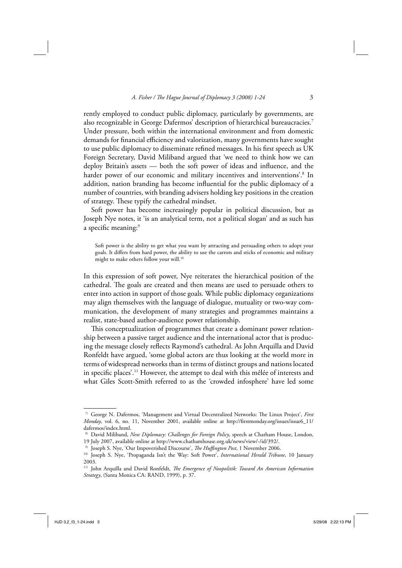rently employed to conduct public diplomacy, particularly by governments, are also recognizable in George Dafermos' description of hierarchical bureaucracies.7 Under pressure, both within the international environment and from domestic demands for financial efficiency and valorization, many governments have sought to use public diplomacy to disseminate refined messages. In his first speech as UK Foreign Secretary, David Miliband argued that 'we need to think how we can deploy Britain's assets — both the soft power of ideas and influence, and the harder power of our economic and military incentives and interventions'.<sup>8</sup> In addition, nation branding has become influential for the public diplomacy of a number of countries, with branding advisers holding key positions in the creation of strategy. These typify the cathedral mindset.

 Soft power has become increasingly popular in political discussion, but as Joseph Nye notes, it 'is an analytical term, not a political slogan' and as such has a specific meaning:<sup>9</sup>

 Soft power is the ability to get what you want by attracting and persuading others to adopt your goals. It differs from hard power, the ability to use the carrots and sticks of economic and military might to make others follow your will.<sup>10</sup>

 In this expression of soft power, Nye reiterates the hierarchical position of the cathedral. The goals are created and then means are used to persuade others to enter into action in support of those goals. While public diplomacy organizations may align themselves with the language of dialogue, mutuality or two-way communication, the development of many strategies and programmes maintains a realist, state-based author-audience power relationship.

This conceptualization of programmes that create a dominant power relationship between a passive target audience and the international actor that is producing the message closely reflects Raymond's cathedral. As John Arquilla and David Ronfeldt have argued, 'some global actors are thus looking at the world more in terms of widespread networks than in terms of distinct groups and nations located in specific places'.11 However, the attempt to deal with this mêlée of interests and what Giles Scott-Smith referred to as the 'crowded infosphere' have led some

<sup>&</sup>lt;sup>7)</sup> George N. Dafermos, 'Management and Virtual Decentralized Networks: The Linux Project', *First Monday*, vol. 6, no. 11, November 2001, available online at http://firstmonday.org/issues/issue6\_11/ dafermos/index.html.

 <sup>8)</sup> David Miliband, *New Diplomacy: Challenges for Foreign Policy*, speech at Chatham House, London, 19 July 2007, available online at http://www.chathamhouse.org.uk/news/view/-/id/392/.

<sup>&</sup>lt;sup>9)</sup> Joseph S. Nye, 'Our Impoverished Discourse', *The Huffington Post*, 1 November 2006.<br><sup>10)</sup> Joseph S. Nye, 'Propaganda Isn't the Way: Soft Power', *International Herald Tribune*, 10 January 2003.

<sup>&</sup>lt;sup>11)</sup> John Arquilla and David Ronfeldt, *The Emergence of Noopolitik: Toward An American Information Strategy*, (Santa Monica CA: RAND, 1999), p. 37.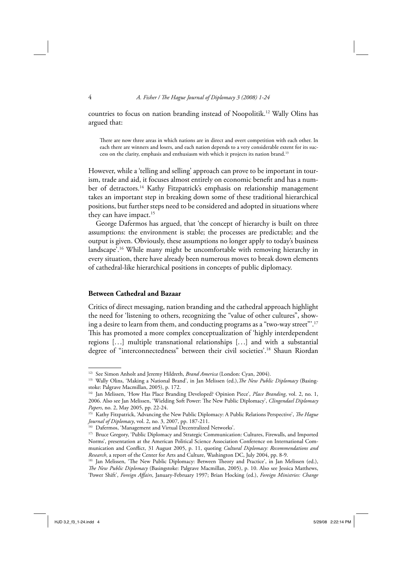countries to focus on nation branding instead of Noopolitik.12 Wally Olins has argued that:

There are now three areas in which nations are in direct and overt competition with each other. In each there are winners and losers, and each nation depends to a very considerable extent for its success on the clarity, emphasis and enthusiasm with which it projects its nation brand.13

 However, while a 'telling and selling' approach can prove to be important in tourism, trade and aid, it focuses almost entirely on economic benefit and has a number of detractors.<sup>14</sup> Kathy Fitzpatrick's emphasis on relationship management takes an important step in breaking down some of these traditional hierarchical positions, but further steps need to be considered and adopted in situations where they can have impact.<sup>15</sup>

 George Dafermos has argued, that 'the concept of hierarchy is built on three assumptions: the environment is stable; the processes are predictable; and the output is given. Obviously, these assumptions no longer apply to today's business landscape'.16 While many might be uncomfortable with removing hierarchy in every situation, there have already been numerous moves to break down elements of cathedral-like hierarchical positions in concepts of public diplomacy.

# **Between Cathedral and Bazaar**

 Critics of direct messaging, nation branding and the cathedral approach highlight the need for 'listening to others, recognizing the "value of other cultures", showing a desire to learn from them, and conducting programs as a "two-way street"'.17 This has promoted a more complex conceptualization of 'highly interdependent regions [. . .] multiple transnational relationships [. . .] and with a substantial degree of "interconnectedness" between their civil societies'.18 Shaun Riordan

<sup>&</sup>lt;sup>12)</sup> See Simon Anholt and Jeremy Hildreth, *Brand America* (London: Cyan, 2004).<br><sup>13)</sup> Wally Olins, 'Making a National Brand', in Jan Melissen (ed.), *The New Public Diplomacy* (Basingstoke: Palgrave Macmillan, 2005), p. 172.

<sup>&</sup>lt;sup>14)</sup> Jan Melissen, 'How Has Place Branding Developed? Opinion Piece', *Place Branding*, vol. 2, no. 1, 2006. Also see Jan Melissen, 'Wielding Soft Power: The New Public Diplomacy', *Clingendael Diplomacy Papers*, no. 2, May 2005, pp. 22-24.<br><sup>15)</sup> Kathy Fitzpatrick, 'Advancing the New Public Diplomacy: A Public Relations Perspective', *The Hague* 

*Journal of Diplomacy*, vol. 2, no. 3, 2007, pp. 187-211.<br><sup>16)</sup> Dafermos, 'Management and Virtual Decentralized Networks'.

<sup>17)</sup> Bruce Gregory, 'Public Diplomacy and Strategic Communication: Cultures, Firewalls, and Imported Norms', presentation at the American Political Science Association Conference on International Communication and Conflict, 31 August 2005, p. 11, quoting *Cultural Diplomacy: Recommendations and Research*, a report of the Center for Arts and Culture, Washington DC, July 2004, pp. 8-9.<br><sup>18)</sup> Jan Melissen, 'The New Public Diplomacy: Between Theory and Practice', in Jan Melissen (ed.),

*The New Public Diplomacy* (Basingstoke: Palgrave Macmillan, 2005), p. 10. Also see Jessica Matthews, 'Power Shift', *Foreign Affairs*, January-February 1997; Brian Hocking (ed.), *Foreign Ministries: Change*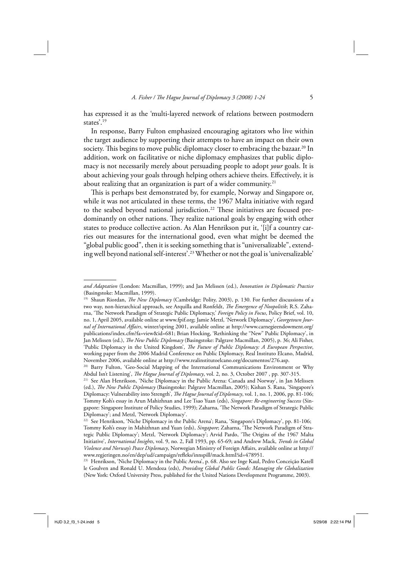has expressed it as the 'multi-layered network of relations between postmodern states'.<sup>19</sup>

 In response, Barry Fulton emphasized encouraging agitators who live within the target audience by supporting their attempts to have an impact on their own society. This begins to move public diplomacy closer to embracing the bazaar.<sup>20</sup> In addition, work on facilitative or niche diplomacy emphasizes that public diplomacy is not necessarily merely about persuading people to adopt *your* goals. It is about achieving your goals through helping others achieve theirs. Effectively, it is about realizing that an organization is part of a wider community.<sup>21</sup>

This is perhaps best demonstrated by, for example, Norway and Singapore or, while it was not articulated in these terms, the 1967 Malta initiative with regard to the seabed beyond national jurisdiction.<sup>22</sup> These initiatives are focused predominantly on other nations. They realize national goals by engaging with other states to produce collective action. As Alan Henrikson put it, '[i]f a country carries out measures for the international good, even what might be deemed the "global public good", then it is seeking something that is "universalizable", extending well beyond national self-interest'.<sup>23</sup> Whether or not the goal is 'universalizable'

*and Adaptation* (London: Macmillan, 1999); and Jan Melissen (ed.), *Innovation in Diplomatic Practice* (Basingstoke: Macmillan, 1999).

<sup>&</sup>lt;sup>19)</sup> Shaun Riordan, *The New Diplomacy* (Cambridge: Polity, 2003), p. 130. For further discussions of a two way, non-hierarchical approach, see Arquilla and Ronfeldt, *The Emergence of Noopolitik*; R.S. Zaharna, 'The Network Paradigm of Strategic Public Diplomacy,' *Foreign Policy in Focus*, Policy Brief, vol. 10, no. 1, April 2005, available online at www.fpif.org; Jamie Metzl, 'Network Diplomacy', *Georgetown Journal of International Affairs*, winter/spring 2001, available online at http://www.carnegieendowment.org/ publications/index.cfm?fa=view&id=681; Brian Hocking, 'Rethinking the "New" Public Diplomacy', in Jan Melissen (ed.), *The New Public Diplomacy* (Basingstoke: Palgrave Macmillan, 2005), p. 36; Ali Fisher, 'Public Diplomacy in the United Kingdom', *The Future of Public Diplomacy: A European Perspective*, working paper from the 2006 Madrid Conference on Public Diplomacy, Real Instituto Elcano, Madrid, November 2006, available online at http://www.realinstitutoelcano.org/documentos/276.asp.

<sup>&</sup>lt;sup>20)</sup> Barry Fulton, 'Geo-Social Mapping of the International Communications Environment or Why Abdul Isn't Listening', *The Hague Journal of Diplomacy*, vol. 2, no. 3, October 2007 , pp. 307-315.<br><sup>21)</sup> See Alan Henrikson, 'Niche Diplomacy in the Public Arena: Canada and Norway', in Jan Melissen

<sup>(</sup>ed.), *The New Public Diplomacy* (Basingstoke: Palgrave Macmillan, 2005); Kishan S. Rana, 'Singapore's Diplomacy: Vulnerability into Strength', *The Hague Journal of Diplomacy*, vol. 1, no. 1, 2006, pp. 81-106; Tommy Koh's essay in Arun Mahizhnan and Lee Tsao Yuan (eds), *Singapore: Re-engineering Success* (Singapore: Singapore Institute of Policy Studies, 1999); Zaharna, 'The Network Paradigm of Strategic Public Diplomacy'; and Metzl, 'Network Diplomacy'.

<sup>&</sup>lt;sup>22)</sup> See Henrikson, 'Niche Diplomacy in the Public Arena'; Rana, 'Singapore's Diplomacy', pp. 81-106; Tommy Koh's essay in Mahizhnan and Yuan (eds), *Singapore*; Zaharna, 'The Network Paradigm of Strategic Public Diplomacy'; Metzl, 'Network Diplomacy'; Arvid Pardo, 'The Origins of the 1967 Malta Initiative', *International Insights*, vol. 9, no. 2, Fall 1993, pp. 65-69; and Andrew Mack, *Trends in Global Violence and Norway's Peace Diplomacy*, Norwegian Ministry of Foreign Affairs, available online at http:// www.regjeringen.no/en/dep/ud/campaign/refleks/innspill/mack.html?id=478951.

<sup>23)</sup> Henrikson, 'Niche Diplomacy in the Public Arena', p. 68. Also see Inge Kaul, Pedro Conceição Katell le Goulven and Ronald U. Mendoza (eds), *Providing Global Public Goods: Managing the Globalization* (New York: Oxford University Press, published for the United Nations Development Programme, 2003).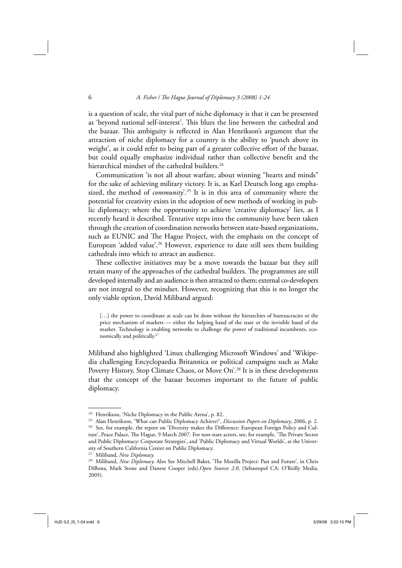is a question of scale, the vital part of niche diplomacy is that it can be presented as 'beyond national self-interest'. This blurs the line between the cathedral and the bazaar. This ambiguity is reflected in Alan Henrikson's argument that the attraction of niche diplomacy for a country is the ability to 'punch above its weight', as it could refer to being part of a greater collective effort of the bazaar, but could equally emphasize individual rather than collective benefit and the hierarchical mindset of the cathedral builders.<sup>24</sup>

 Communication 'is not all about warfare, about winning "hearts and minds" for the sake of achieving military victory. It is, as Karl Deutsch long ago emphasized, the method of *community*'.25 It is in this area of community where the potential for creativity exists in the adoption of new methods of working in public diplomacy; where the opportunity to achieve 'creative diplomacy' lies, as I recently heard it described. Tentative steps into the community have been taken through the creation of coordination networks between state-based organizations, such as EUNIC and The Hague Project, with the emphasis on the concept of European 'added value'.<sup>26</sup> However, experience to date still sees them building cathedrals into which to attract an audience.

These collective initiatives may be a move towards the bazaar but they still retain many of the approaches of the cathedral builders. The programmes are still developed internally and an audience is then attracted to them; external co-developers are not integral to the mindset. However, recognizing that this is no longer the only viable option, David Miliband argued:

[...] the power to coordinate at scale can be done without the hierarchies of bureaucracies or the price mechanism of markets — either the helping hand of the state or the invisible hand of the market. Technology is enabling networks to challenge the power of traditional incumbents, economically and politically.27

 Miliband also highlighted 'Linux challenging Microsoft Windows' and 'Wikipedia challenging Encyclopaedia Britannica or political campaigns such as Make Poverty History, Stop Climate Chaos, or Move On'.<sup>28</sup> It is in these developments that the concept of the bazaar becomes important to the future of public diplomacy.

<sup>24)</sup> Henrikson, 'Niche Diplomacy in the Public Arena', p. 82.

<sup>&</sup>lt;sup>25)</sup> Alan Henrikson, 'What can Public Diplomacy Achieve?', *Discussion Papers on Diplomacy*, 2006, p. 2. <sup>26</sup>) See, for example, the report on 'Diversity makes the Difference: European Foreign Policy and Culture', Peace Palace, The Hague, 9 March 2007. For non-state actors, see, for example, 'The Private Sector and Public Diplomacy: Corporate Strategies', and 'Public Diplomacy and Virtual Worlds', at the University of Southern California Center on Public Diplomacy.

<sup>27)</sup> Miliband, *New Diplomacy.* 

<sup>&</sup>lt;sup>28)</sup> Miliband, *New Diplomacy.* Also See Mitchell Baker, 'The Mozilla Project: Past and Future', in Chris DiBona, Mark Stone and Danese Cooper (eds),*Open Sources 2.0*, (Sebastopol CA: O'Reilly Media, 2005).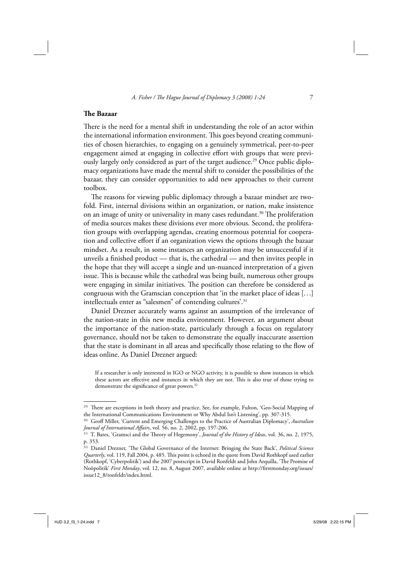# **The Bazaar**

There is the need for a mental shift in understanding the role of an actor within the international information environment. This goes beyond creating communities of chosen hierarchies, to engaging on a genuinely symmetrical, peer-to-peer engagement aimed at engaging in collective effort with groups that were previously largely only considered as part of the target audience.<sup>29</sup> Once public diplomacy organizations have made the mental shift to consider the possibilities of the bazaar, they can consider opportunities to add new approaches to their current toolbox.

The reasons for viewing public diplomacy through a bazaar mindset are twofold. First, internal divisions within an organization, or nation, make insistence on an image of unity or universality in many cases redundant.<sup>30</sup> The proliferation of media sources makes these divisions ever more obvious. Second, the proliferation groups with overlapping agendas, creating enormous potential for cooperation and collective effort if an organization views the options through the bazaar mindset. As a result, in some instances an organization may be unsuccessful if it unveils a finished product — that is, the cathedral — and then invites people in the hope that they will accept a single and un-nuanced interpretation of a given issue. This is because while the cathedral was being built, numerous other groups were engaging in similar initiatives. The position can therefore be considered as congruous with the Gramscian conception that 'in the market place of ideas [. . .] intellectuals enter as "salesmen" of contending cultures'.<sup>31</sup>

 Daniel Drezner accurately warns against an assumption of the irrelevance of the nation-state in this new media environment. However, an argument about the importance of the nation-state, particularly through a focus on regulatory governance, should not be taken to demonstrate the equally inaccurate assertion that the state is dominant in all areas and specifically those relating to the flow of ideas online. As Daniel Drezner argued:

If a researcher is only interested in IGO or NGO activity, it is possible to show instances in which these actors are effective and instances in which they are not. This is also true of those trying to demonstrate the significance of great powers.<sup>32</sup>

<sup>&</sup>lt;sup>29)</sup> There are exceptions in both theory and practice. See, for example, Fulton, 'Geo-Social Mapping of the International Communications Environment or Why Abdul Isn't Listening', pp. 307-315.

<sup>30)</sup> Geoff Miller, 'Current and Emerging Challenges to the Practice of Australian Diplomacy', *Australian Journal of International Affairs*, vol. 56, no. 2, 2002, pp. 197-206.<br><sup>31)</sup> T. Bates, 'Gramsci and the Theory of Hegemony', *Journal of the History of Ideas*, vol. 36, no. 2, 1975,

p. 353.

<sup>&</sup>lt;sup>32)</sup> Daniel Drezner, 'The Global Governance of the Internet: Bringing the State Back', *Political Science Quarterly*, vol. 119, Fall 2004, p. 485. This point is echoed in the quote from David Rothkopf used earlier (Rothkopf, 'Cyberpolitik') and the 2007 postscript in David Ronfeldt and John Arquilla, 'The Promise of Noöpolitik' *First Monday*, vol. 12, no. 8, August 2007, available online at http://firstmonday.org/issues/ issue12\_8/ronfeldt/index.html.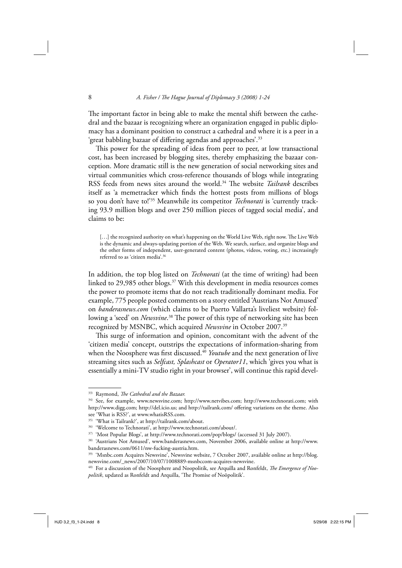The important factor in being able to make the mental shift between the cathedral and the bazaar is recognizing where an organization engaged in public diplomacy has a dominant position to construct a cathedral and where it is a peer in a 'great babbling bazaar of differing agendas and approaches'.33

This power for the spreading of ideas from peer to peer, at low transactional cost, has been increased by blogging sites, thereby emphasizing the bazaar conception. More dramatic still is the new generation of social networking sites and virtual communities which cross-reference thousands of blogs while integrating RSS feeds from news sites around the world.<sup>34</sup> The website *Tailrank* describes itself as 'a memetracker which finds the hottest posts from millions of blogs so you don't have to!'<sup>35</sup> Meanwhile its competitor *Technorati* is 'currently tracking 93.9 million blogs and over 250 million pieces of tagged social media', and claims to be:

[...] the recognized authority on what's happening on the World Live Web, right now. The Live Web is the dynamic and always-updating portion of the Web. We search, surface, and organize blogs and the other forms of independent, user-generated content (photos, videos, voting, etc.) increasingly referred to as 'citizen media'.<sup>36</sup>

 In addition, the top blog listed on *Technorati* (at the time of writing) had been linked to 29,985 other blogs.<sup>37</sup> With this development in media resources comes the power to promote items that do not reach traditionally dominant media. For example, 775 people posted comments on a story entitled 'Austrians Not Amused' on *banderasnews.com* (which claims to be Puerto Vallarta's liveliest website) following a 'seed' on *Newsvine*.<sup>38</sup> The power of this type of networking site has been recognized by MSNBC, which acquired *Newsvine* in October 2007.39

This surge of information and opinion, concomitant with the advent of the 'citizen media' concept, outstrips the expectations of information-sharing from when the Noosphere was first discussed.<sup>40</sup> *Youtube* and the next generation of live streaming sites such as *Selfcast, Splashcast* or *Operator11*, which 'gives you what is essentially a mini-TV studio right in your browser', will continue this rapid devel-

<sup>&</sup>lt;sup>33)</sup> Raymond, *The Cathedral and the Bazaar*.

<sup>34)</sup> See, for example, www.newsvine.com; http://www.netvibes.com; http://www.technorati.com; with http://www.digg.com; http://del.icio.us; and http://tailrank.com/ offering variations on the theme. Also see 'What is RSS?', at www.whatisRSS.com.

<sup>35) &#</sup>x27;What is Tailrank?', at http://tailrank.com/about.

<sup>36) &#</sup>x27;Welcome to Technorati', at http://www.technorati.com/about/.

<sup>37) &#</sup>x27;Most Popular Blogs', at http://www.technorati.com/pop/blogs/ (accessed 31 July 2007).

<sup>38) &#</sup>x27;Austrians Not Amused', www.banderasnews.com, November 2006, available online at http://www. banderasnews.com/0611/nw-fucking-austria.htm.

<sup>&#</sup>x27;Msnbc.com Acquires Newsvine', Newsvine website, 7 October 2007, available online at http://blog. newsvine.com/\_news/2007/10/07/1008889-msnbccom-acquires-newsvine.

<sup>&</sup>lt;sup>40)</sup> For a discussion of the Noosphere and Noopolitik, see Arquilla and Ronfeldt, *The Emergence of Noopolitik*, updated as Ronfeldt and Arquilla, 'The Promise of Noöpolitik'.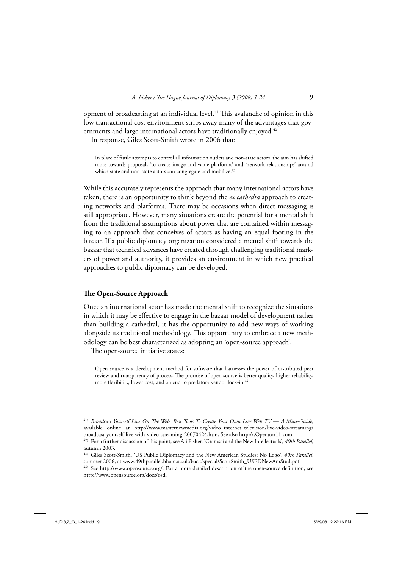opment of broadcasting at an individual level.<sup>41</sup> This avalanche of opinion in this low transactional cost environment strips away many of the advantages that governments and large international actors have traditionally enjoyed.<sup>42</sup>

In response, Giles Scott-Smith wrote in 2006 that:

 In place of futile attempts to control all information outlets and non-state actors, the aim has shifted more towards proposals 'to create image and value platforms' and 'network relationships' around which state and non-state actors can congregate and mobilize.<sup>43</sup>

 While this accurately represents the approach that many international actors have taken, there is an opportunity to think beyond the *ex cathedra* approach to creating networks and platforms. There may be occasions when direct messaging is still appropriate. However, many situations create the potential for a mental shift from the traditional assumptions about power that are contained within messaging to an approach that conceives of actors as having an equal footing in the bazaar. If a public diplomacy organization considered a mental shift towards the bazaar that technical advances have created through challenging traditional markers of power and authority, it provides an environment in which new practical approaches to public diplomacy can be developed.

#### **The Open-Source Approach**

 Once an international actor has made the mental shift to recognize the situations in which it may be effective to engage in the bazaar model of development rather than building a cathedral, it has the opportunity to add new ways of working alongside its traditional methodology. This opportunity to embrace a new methodology can be best characterized as adopting an 'open-source approach'.

The open-source initiative states:

 Open source is a development method for software that harnesses the power of distributed peer review and transparency of process. The promise of open source is better quality, higher reliability, more flexibility, lower cost, and an end to predatory vendor lock-in.<sup>44</sup>

<sup>&</sup>lt;sup>41)</sup> Broadcast Yourself Live On The Web: Best Tools To Create Your Own Live Web TV — A Mini-Guide, available online at http://www.masternewmedia.org/video\_internet\_television/live-video-streaming/ broadcast-yourself-live-with-video-streaming-20070424.htm. See also http://.Operator11.com. 42) For a further discussion of this point, see Ali Fisher, 'Gramsci and the New Intellectuals', *49th Parallel*,

autumn 2003.

<sup>43)</sup> Giles Scott-Smith, 'US Public Diplomacy and the New American Studies: No Logo', *49th Parallel*, summer 2006, at www.49thparallel.bham.ac.uk/back/special/ScottSmith\_USPDNewAmStud.pdf.

<sup>44)</sup> See http://www.opensource.org/. For a more detailed description of the open-source definition, see http://www.opensource.org/docs/osd.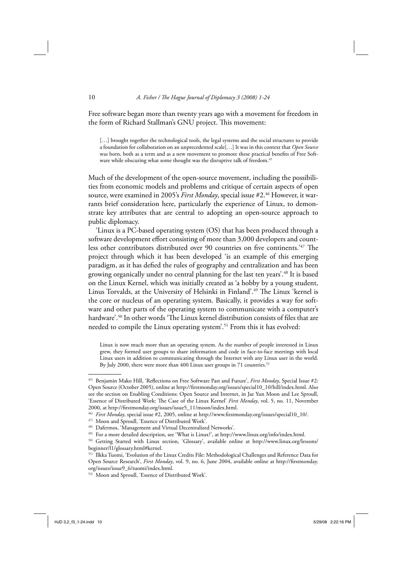Free software began more than twenty years ago with a movement for freedom in the form of Richard Stallman's GNU project. This movement:

[...] brought together the technological tools, the legal systems and the social structures to provide a foundation for collaboration on an unprecedented scale[. . .] It was in this context that *Open Source* was born, both as a term and as a new movement to promote these practical benefits of Free Software while obscuring what some thought was the disruptive talk of freedom.<sup>45</sup>

 Much of the development of the open-source movement, including the possibilities from economic models and problems and critique of certain aspects of open source, were examined in 2005's *First Monday*, special issue #2.46 However, it warrants brief consideration here, particularly the experience of Linux, to demonstrate key attributes that are central to adopting an open-source approach to public diplomacy.

 'Linux is a PC-based operating system (OS) that has been produced through a software development effort consisting of more than 3,000 developers and countless other contributors distributed over 90 countries on five continents.<sup>'47</sup> The project through which it has been developed 'is an example of this emerging paradigm, as it has defied the rules of geography and centralization and has been growing organically under no central planning for the last ten years'.48 It is based on the Linux Kernel, which was initially created as 'a hobby by a young student, Linus Torvalds, at the University of Helsinki in Finland'.<sup>49</sup> The Linux 'kernel is the core or nucleus of an operating system. Basically, it provides a way for software and other parts of the operating system to communicate with a computer's hardware'.<sup>50</sup> In other words 'The Linux kernel distribution consists of files that are needed to compile the Linux operating system'.<sup>51</sup> From this it has evolved:

Linux is now much more than an operating system. As the number of people interested in Linux grew, they formed user groups to share information and code in face-to-face meetings with local Linux users in addition to communicating through the Internet with any Linux user in the world. By July 2000, there were more than 400 Linux user groups in 71 countries.<sup>52</sup>

<sup>45)</sup> Benjamin Mako Hill, 'Reflections on Free Software Past and Future', *First Monday*, Special Issue #2: Open Source (October 2005), online at http://firstmonday.org/issues/special10\_10/hill/index.html. Also see the section on Enabling Conditions: Open Source and Internet, in Jae Yun Moon and Lee Sproull, 'Essence of Distributed Work: The Case of the Linux Kernel' *First Monday*, vol. 5, no. 11, November 2000, at http://firstmonday.org/issues/issue5\_11/moon/index.html.

<sup>46)</sup> *First Monday*, special issue #2, 2005, online at http://www.firstmonday.org/issues/special10\_10/. 47) Moon and Sproull, 'Essence of Distributed Work'.

<sup>48)</sup> Dafermos, 'Management and Virtual Decentralized Networks'.

<sup>49)</sup> For a more detailed description, see 'What is Linux?', at http://www.linux.org/info/index.html.

<sup>50)</sup> Getting Started with Linux section, 'Glossary', available online at http://www.linux.org/lessons/ beginner/l1/glossary.html#kernel.

<sup>51)</sup> Ilkka Tuomi, 'Evolution of the Linux Credits File: Methodological Challenges and Reference Data for Open Source Research', *First Monday*, vol. 9, no. 6, June 2004, available online at http://firstmonday. org/issues/issue9\_6/tuomi/index.html.

<sup>52)</sup> Moon and Sproull, 'Essence of Distributed Work'.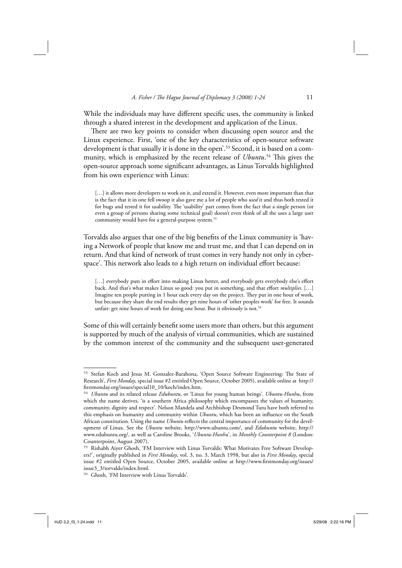While the individuals may have different specific uses, the community is linked through a shared interest in the development and application of the Linux.

There are two key points to consider when discussing open source and the Linux experience. First, 'one of the key characteristics of open-source software development is that usually it is done in the open'.<sup>53</sup> Second, it is based on a community, which is emphasized by the recent release of *Ubuntu*.<sup>54</sup> This gives the open-source approach some significant advantages, as Linus Torvalds highlighted from his own experience with Linux:

[...] it allows more developers to work on it, and extend it. However, even more important than that is the fact that it in one fell swoop it also gave me a lot of people who *used* it and thus both tested it for bugs and tested it for usability. The 'usability' part comes from the fact that a single person (or even a group of persons sharing some technical goal) doesn't even think of all the uses a large user community would have for a general-purpose system.55

 Torvalds also argues that one of the big benefits of the Linux community is 'having a Network of people that know me and trust me, and that I can depend on in return. And that kind of network of trust comes in very handy not only in cyberspace'. This network also leads to a high return on individual effort because:

[...] everybody puts in effort into making Linux better, and everybody gets everybody else's effort back. And that's what makes Linux so good: you put in something, and that effort *multiplies*. [. . .] Imagine ten people putting in 1 hour each every day on the project. They put in one hour of work, but because they share the end results they get nine hours of 'other peoples work' for free. It sounds unfair: get nine hours of work for doing one hour. But it obviously is not.<sup>56</sup>

 Some of this will certainly benefit some users more than others, but this argument is supported by much of the analysis of virtual communities, which are sustained by the common interest of the community and the subsequent user-generated

<sup>53)</sup> Stefan Koch and Jesus M. Gonzalez-Barahona, 'Open Source Software Engineering: The State of Research', *First Monday*, special issue #2 entitled Open Source, October 2005), available online at http:// firstmonday.org/issues/special10\_10/koch/index.htm.

<sup>54)</sup> *Ubuntu* and its related release *Edubuntu*, or 'Linux for young human beings'. *Ubuntu-Hunhu*, from which the name derives, 'is a southern Africa philosophy which encompasses the values of humanity, community, dignity and respect'. Nelson Mandela and Archbishop Desmond Tutu have both referred to this emphasis on humanity and community within *Ubuntu*, which has been an influence on the South African constitution. Using the name *Ubuntu* reflects the central importance of community for the development of Linux. See the *Ubuntu* website, http://www.ubuntu.com/, and *Edubuntu* website, http:// www.edubuntu.org/, as well as Caroline Brooks, '*Ubuntu-Hunhu*', in *Monthly Counterpoint 8* (London: Counterpoint, August 2007).

<sup>55)</sup> Rishabh Aiyer Ghosh, 'FM Interview with Linus Torvalds: What Motivates Free Software Developers?', originally published in *First Monday*, vol. 3, no. 3, March 1998, but also in *First Monday*, special issue #2 entitled Open Source, October 2005, available online at http://www.firstmonday.org/issues/ issue3\_3/torvalds/index.html.

<sup>56)</sup> Ghosh, 'FM Interview with Linus Torvalds'.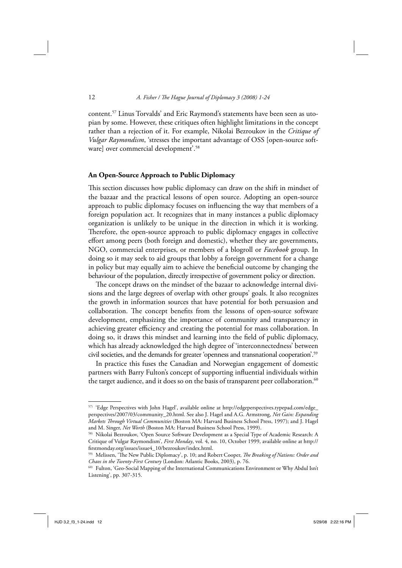content.57 Linus Torvalds' and Eric Raymond's statements have been seen as utopian by some. However, these critiques often highlight limitations in the concept rather than a rejection of it. For example, Nikolai Bezroukov in the *Critique of Vulgar Raymondism*, 'stresses the important advantage of OSS [open-source software] over commercial development'.58

### **An Open-Source Approach to Public Diplomacy**

This section discusses how public diplomacy can draw on the shift in mindset of the bazaar and the practical lessons of open source. Adopting an open-source approach to public diplomacy focuses on influencing the way that members of a foreign population act. It recognizes that in many instances a public diplomacy organization is unlikely to be unique in the direction in which it is working. Therefore, the open-source approach to public diplomacy engages in collective effort among peers (both foreign and domestic), whether they are governments, NGO, commercial enterprises, or members of a blogroll or *Facebook* group. In doing so it may seek to aid groups that lobby a foreign government for a change in policy but may equally aim to achieve the beneficial outcome by changing the behaviour of the population, directly irrespective of government policy or direction.

The concept draws on the mindset of the bazaar to acknowledge internal divisions and the large degrees of overlap with other groups' goals. It also recognizes the growth in information sources that have potential for both persuasion and collaboration. The concept benefits from the lessons of open-source software development, emphasizing the importance of community and transparency in achieving greater efficiency and creating the potential for mass collaboration. In doing so, it draws this mindset and learning into the field of public diplomacy, which has already acknowledged the high degree of 'interconnectedness' between civil societies, and the demands for greater 'openness and transnational cooperation'.59

 In practice this fuses the Canadian and Norwegian engagement of domestic partners with Barry Fulton's concept of supporting influential individuals within the target audience, and it does so on the basis of transparent peer collaboration. $60$ 

<sup>57) &#</sup>x27;Edge Perspectives with John Hagel', available online at http://edgeperspectives.typepad.com/edge\_ perspectives/2007/03/community\_20.html. See also J. Hagel and A.G. Armstrong, *Net Gain: Expanding Markets Th rough Virtual Communities* (Boston MA: Harvard Business School Press, 1997); and J. Hagel

and M. Singer, *Net Worth* (Boston MA: Harvard Business School Press, 1999).<br><sup>58)</sup> Nikolai Bezroukov, 'Open Source Software Development as a Special Type of Academic Research: A Critique of Vulgar Raymondism', *First Monday*, vol. 4, no. 10, October 1999, available online at http:// firstmonday.org/issues/issue4\_10/bezroukov/index.html.

<sup>&</sup>lt;sup>59)</sup> Melissen, 'The New Public Diplomacy', p. 10; and Robert Cooper, *The Breaking of Nations: Order and Chaos in the Twenty-First Century* (London: Atlantic Books, 2003), p. 76.<br><sup>60)</sup> Fulton, 'Geo-Social Mapping of the International Communications Environment or Why Abdul Isn't

Listening', pp. 307-315.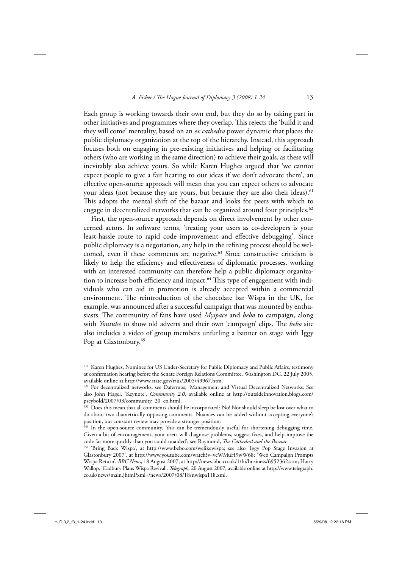Each group is working towards their own end, but they do so by taking part in other initiatives and programmes where they overlap. This rejects the 'build it and they will come' mentality, based on an *ex cathedra* power dynamic that places the public diplomacy organization at the top of the hierarchy. Instead, this approach focuses both on engaging in pre-existing initiatives and helping or facilitating others (who are working in the same direction) to achieve their goals, as these will inevitably also achieve yours. So while Karen Hughes argued that 'we cannot expect people to give a fair hearing to our ideas if we don't advocate them', an effective open-source approach will mean that you can expect others to advocate your ideas (not because they are yours, but because they are also their ideas).<sup>61</sup> This adopts the mental shift of the bazaar and looks for peers with which to engage in decentralized networks that can be organized around four principles.<sup>62</sup>

 First, the open-source approach depends on direct involvement by other concerned actors. In software terms, 'treating your users as co-developers is your least-hassle route to rapid code improvement and effective debugging'. Since public diplomacy is a negotiation, any help in the refining process should be welcomed, even if these comments are negative.<sup>63</sup> Since constructive criticism is likely to help the efficiency and effectiveness of diplomatic processes, working with an interested community can therefore help a public diplomacy organization to increase both efficiency and impact.<sup>64</sup> This type of engagement with individuals who can aid in promotion is already accepted within a commercial environment. The reintroduction of the chocolate bar Wispa in the UK, for example, was announced after a successful campaign that was mounted by enthusiasts. The community of fans have used *Myspace* and *bebo* to campaign, along with *Youtube* to show old adverts and their own 'campaign' clips. The *bebo* site also includes a video of group members unfurling a banner on stage with Iggy Pop at Glastonbury.<sup>65</sup>

<sup>61)</sup> Karen Hughes, Nominee for US Under-Secretary for Public Diplomacy and Public Affairs, testimony at confirmation hearing before the Senate Foreign Relations Committee, Washington DC, 22 July 2005, available online at http://www.state.gov/r/us/2005/49967.htm.

<sup>62)</sup> For decentralized networks, see Dafermos, 'Management and Virtual Decentralized Networks. See also John Hagel, 'Keynote', *Community 2.0*, available online at http://outsideinnovation.blogs.com/ pseybold/2007/03/community\_20\_co.html.

 $^{63)}$  Does this mean that all comments should be incorporated? No! Nor should sleep be lost over what to do about two diametrically opposing comments. Nuances can be added without accepting everyone's position, but constant review may provide a stronger position.

<sup>&</sup>lt;sup>64)</sup> In the open-source community, 'this can be tremendously useful for shortening debugging time. Given a bit of encouragement, your users will diagnose problems, suggest fixes, and help improve the code far more quickly than you could unaided'; see Raymond, *The Cathedral and the Bazaar.* 

<sup>65) &#</sup>x27;Bring Back Wispa', at http://www.bebo.com/welikewispa; see also 'Iggy Pop Stage Invasion at Glastonbury 2007', at http://www.youtube.com/watch?v=vcWMuH9wW68; 'Web Campaign Prompts Wispa Return', *BBC News*, 18 August 2007, at http://news.bbc.co.uk/1/hi/business/6952362.stm; Harry Wallop, 'Cadbury Plans Wispa Revival', *Telegraph*, 20 August 2007, available online at http://www.telegraph. co.uk/news/main.jhtml?xml=/news/2007/08/18/nwispa118.xml.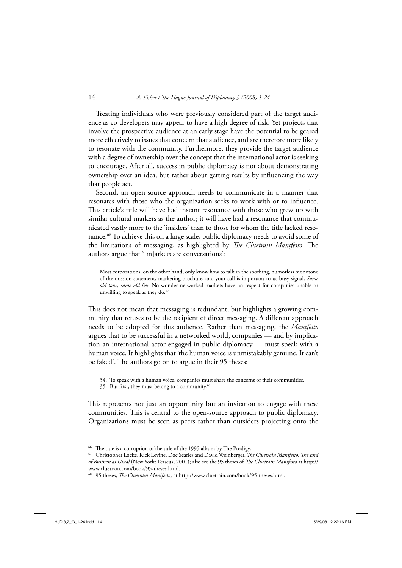Treating individuals who were previously considered part of the target audience as co-developers may appear to have a high degree of risk. Yet projects that involve the prospective audience at an early stage have the potential to be geared more effectively to issues that concern that audience, and are therefore more likely to resonate with the community. Furthermore, they provide the target audience with a degree of ownership over the concept that the international actor is seeking to encourage. After all, success in public diplomacy is not about demonstrating ownership over an idea, but rather about getting results by influencing the way that people act.

 Second, an open-source approach needs to communicate in a manner that resonates with those who the organization seeks to work with or to influence. This article's title will have had instant resonance with those who grew up with similar cultural markers as the author; it will have had a resonance that communicated vastly more to the 'insiders' than to those for whom the title lacked resonance.<sup>66</sup> To achieve this on a large scale, public diplomacy needs to avoid some of the limitations of messaging, as highlighted by *The Cluetrain Manifesto*. The authors argue that '[m]arkets are conversations':

 Most corporations, on the other hand, only know how to talk in the soothing, humorless monotone of the mission statement, marketing brochure, and your-call-is-important-to-us busy signal. *Same old tone, same old lies*. No wonder networked markets have no respect for companies unable or unwilling to speak as they do. $67$ 

This does not mean that messaging is redundant, but highlights a growing community that refuses to be the recipient of direct messaging. A different approach needs to be adopted for this audience. Rather than messaging, the *Manifesto* argues that to be successful in a networked world, companies — and by implication an international actor engaged in public diplomacy — must speak with a human voice. It highlights that 'the human voice is unmistakably genuine. It can't be faked'. The authors go on to argue in their 95 theses:

35. But first, they must belong to a community.<sup>68</sup>

This represents not just an opportunity but an invitation to engage with these communities. This is central to the open-source approach to public diplomacy. Organizations must be seen as peers rather than outsiders projecting onto the

 <sup>34.</sup> To speak with a human voice, companies must share the concerns of their communities.

<sup>&</sup>lt;sup>66)</sup> The title is a corruption of the title of the 1995 album by The Prodigy.<br><sup>67)</sup> Christopher Locke, Rick Levine, Doc Searles and David Weinberger, *The Cluetrain Manifesto: The End of Business as Usual* (New York: Perseus, 2001); also see the 95 theses of *Th e Cluetrain Manifesto* at http:// www.cluetrain.com/book/95-theses.html.

<sup>&</sup>lt;sup>68)</sup> 95 theses, *The Cluetrain Manifesto*, at http://www.cluetrain.com/book/95-theses.html.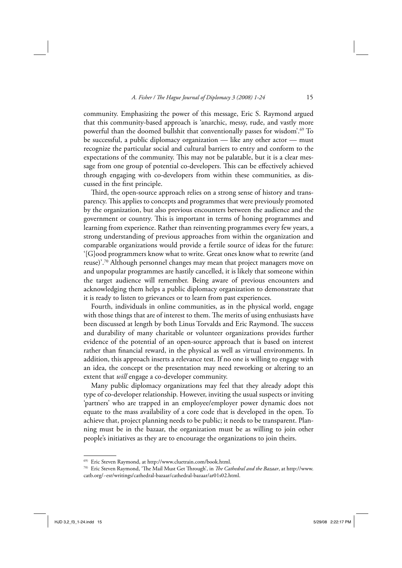community. Emphasizing the power of this message, Eric S. Raymond argued that this community-based approach is 'anarchic, messy, rude, and vastly more powerful than the doomed bullshit that conventionally passes for wisdom'.69 To be successful, a public diplomacy organization — like any other actor — must recognize the particular social and cultural barriers to entry and conform to the expectations of the community. This may not be palatable, but it is a clear message from one group of potential co-developers. This can be effectively achieved through engaging with co-developers from within these communities, as discussed in the first principle.

Third, the open-source approach relies on a strong sense of history and transparency. This applies to concepts and programmes that were previously promoted by the organization, but also previous encounters between the audience and the government or country. This is important in terms of honing programmes and learning from experience. Rather than reinventing programmes every few years, a strong understanding of previous approaches from within the organization and comparable organizations would provide a fertile source of ideas for the future: '[G]ood programmers know what to write. Great ones know what to rewrite (and reuse)'.70 Although personnel changes may mean that project managers move on and unpopular programmes are hastily cancelled, it is likely that someone within the target audience will remember. Being aware of previous encounters and acknowledging them helps a public diplomacy organization to demonstrate that it is ready to listen to grievances or to learn from past experiences.

 Fourth, individuals in online communities, as in the physical world, engage with those things that are of interest to them. The merits of using enthusiasts have been discussed at length by both Linus Torvalds and Eric Raymond. The success and durability of many charitable or volunteer organizations provides further evidence of the potential of an open-source approach that is based on interest rather than financial reward, in the physical as well as virtual environments. In addition, this approach inserts a relevance test. If no one is willing to engage with an idea, the concept or the presentation may need reworking or altering to an extent that *will* engage a co-developer community.

 Many public diplomacy organizations may feel that they already adopt this type of co-developer relationship. However, inviting the usual suspects or inviting 'partners' who are trapped in an employee/employer power dynamic does not equate to the mass availability of a core code that is developed in the open. To achieve that, project planning needs to be public; it needs to be transparent. Planning must be in the bazaar, the organization must be as willing to join other people's initiatives as they are to encourage the organizations to join theirs.

<sup>69)</sup> Eric Steven Raymond, at http://www.cluetrain.com/book.html.

<sup>&</sup>lt;sup>70)</sup> Eric Steven Raymond, 'The Mail Must Get Through', in *The Cathedral and the Bazaar*, at http://www. catb.org/~esr/writings/cathedral-bazaar/cathedral-bazaar/ar01s02.html.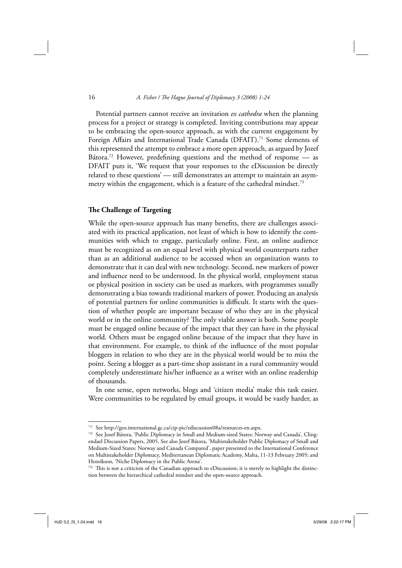Potential partners cannot receive an invitation *ex cathedra* when the planning process for a project or strategy is completed. Inviting contributions may appear to be embracing the open-source approach, as with the current engagement by Foreign Affairs and International Trade Canada (DFAIT).<sup>71</sup> Some elements of this represented the attempt to embrace a more open approach, as argued by Jozef Bátora.<sup>72</sup> However, predefining questions and the method of response — as DFAIT puts it, 'We request that your responses to the eDiscussion be directly related to these questions' — still demonstrates an attempt to maintain an asymmetry within the engagement, which is a feature of the cathedral mindset.<sup>73</sup>

# **The Challenge of Targeting**

 While the open-source approach has many benefits, there are challenges associated with its practical application, not least of which is how to identify the communities with which to engage, particularly online. First, an online audience must be recognized as on an equal level with physical world counterparts rather than as an additional audience to be accessed when an organization wants to demonstrate that it can deal with new technology. Second, new markers of power and influence need to be understood. In the physical world, employment status or physical position in society can be used as markers, with programmes usually demonstrating a bias towards traditional markers of power. Producing an analysis of potential partners for online communities is difficult. It starts with the question of whether people are important because of who they are in the physical world or in the online community? The only viable answer is both. Some people must be engaged online because of the impact that they can have in the physical world. Others must be engaged online because of the impact that they have in that environment. For example, to think of the influence of the most popular bloggers in relation to who they are in the physical world would be to miss the point. Seeing a blogger as a part-time shop assistant in a rural community would completely underestimate his/her influence as a writer with an online readership of thousands.

 In one sense, open networks, blogs and 'citizen media' make this task easier. Were communities to be regulated by email groups, it would be vastly harder, as

<sup>71)</sup> See http://geo.international.gc.ca/cip-pic/ediscussion08a/resources-en.aspx.

<sup>72)</sup> See Jozef Bátora, 'Public Diplomacy in Small and Medium-sized States: Norway and Canada', Clingendael Discussion Papers, 2005. See also Jozef Bátora, 'Multistakeholder Public Diplomacy of Small and Medium-Sized States: Norway and Canada Compared', paper presented to the International Conference on Multistakeholder Diplomacy, Mediterranean Diplomatic Academy, Malta, 11-13 February 2005; and Henrikson, 'Niche Diplomacy in the Public Arena'.

<sup>73)</sup> This is not a criticism of the Canadian approach to eDiscussion; it is merely to highlight the distinction between the hierarchical cathedral mindset and the open-source approach.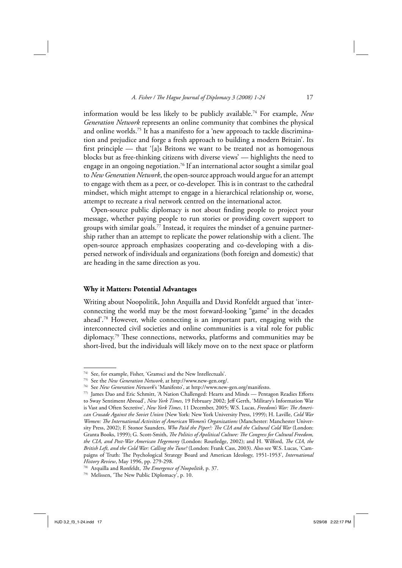information would be less likely to be publicly available.74 For example, *New Generation Network* represents an online community that combines the physical and online worlds.75 It has a manifesto for a 'new approach to tackle discrimination and prejudice and forge a fresh approach to building a modern Britain'. Its first principle — that '[a]s Britons we want to be treated not as homogenous blocks but as free-thinking citizens with diverse views' — highlights the need to engage in an ongoing negotiation.76 If an international actor sought a similar goal to *New Generation Network*, the open-source approach would argue for an attempt to engage with them as a peer, or co-developer. This is in contrast to the cathedral mindset, which might attempt to engage in a hierarchical relationship or, worse, attempt to recreate a rival network centred on the international actor.

 Open-source public diplomacy is not about finding people to project your message, whether paying people to run stories or providing covert support to groups with similar goals.<sup>77</sup> Instead, it requires the mindset of a genuine partnership rather than an attempt to replicate the power relationship with a client. The open-source approach emphasizes cooperating and co-developing with a dispersed network of individuals and organizations (both foreign and domestic) that are heading in the same direction as you.

# **Why it Matters: Potential Advantages**

 Writing about Noopolitik, John Arquilla and David Ronfeldt argued that 'interconnecting the world may be the most forward-looking "game" in the decades ahead'.78 However, while connecting is an important part, engaging with the interconnected civil societies and online communities is a vital role for public diplomacy.<sup>79</sup> These connections, networks, platforms and communities may be short-lived, but the individuals will likely move on to the next space or platform

<sup>&</sup>lt;sup>74)</sup> See, for example, Fisher, 'Gramsci and the New Intellectuals'.<br><sup>75)</sup> See the *New Generation Network*, at http://www.new-gen.org/.

<sup>&</sup>lt;sup>76</sup> See *New Generation Network*'s 'Manifesto', at http://www.new-gen.org/manifesto.<br><sup>77</sup> James Dao and Eric Schmitt, 'A Nation Challenged: Hearts and Minds — Pentagon Readies Efforts to Sway Sentiment Abroad', *New York Times*, 19 February 2002; Jeff Gerth, 'Military's Information War is Vast and Often Secretive', *New York Times*, 11 December, 2005; W.S. Lucas, *Freedom's War: The American Crusade Against the Soviet Union* (New York: New York University Press, 1999); H. Laville, *Cold War Women: The International Activities of American Women's Organizations* (Manchester: Manchester University Press, 2002); F. Stonor Saunders, *Who Paid the Piper?: The CIA and the Cultural Cold War* (London: Granta Books, 1999); G. Scott-Smith, *The Politics of Apolitical Culture: The Congress for Cultural Freedom*, the CIA, and Post-War American Hegemony (London: Routledge, 2002); and H. Wilford, *The CIA, the British Left, and the Cold War: Calling the Tune?* (London: Frank Cass, 2003). Also see W.S. Lucas, 'Campaigns of Truth: The Psychological Strategy Board and American Ideology, 1951-1953', *International History Review*, May 1996, pp. 279-298.<br><sup>78)</sup> Arquilla and Ronfeldt, *The Emergence of Noopolitik*, p. 37.<br><sup>79)</sup> Melissen, 'The New Public Diplomacy', p. 10.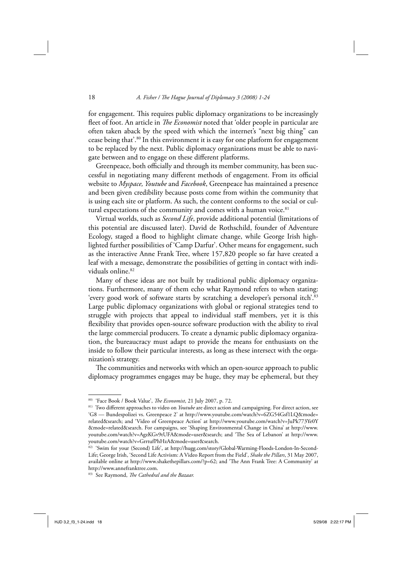for engagement. This requires public diplomacy organizations to be increasingly fleet of foot. An article in *The Economist* noted that 'older people in particular are often taken aback by the speed with which the internet's "next big thing" can cease being that'.<sup>80</sup> In this environment it is easy for one platform for engagement to be replaced by the next. Public diplomacy organizations must be able to navigate between and to engage on these different platforms.

 Greenpeace, both officially and through its member community, has been successful in negotiating many different methods of engagement. From its official website to *Myspace, Youtube* and *Facebook*, Greenpeace has maintained a presence and been given credibility because posts come from within the community that is using each site or platform. As such, the content conforms to the social or cultural expectations of the community and comes with a human voice.<sup>81</sup>

 Virtual worlds, such as *Second Life*, provide additional potential (limitations of this potential are discussed later). David de Rothschild, founder of Adventure Ecology, staged a flood to highlight climate change, while George Irish highlighted further possibilities of 'Camp Darfur'. Other means for engagement, such as the interactive Anne Frank Tree, where 157,820 people so far have created a leaf with a message, demonstrate the possibilities of getting in contact with individuals online.<sup>82</sup>

 Many of these ideas are not built by traditional public diplomacy organizations. Furthermore, many of them echo what Raymond refers to when stating: 'every good work of software starts by scratching a developer's personal itch'.<sup>83</sup> Large public diplomacy organizations with global or regional strategies tend to struggle with projects that appeal to individual staff members, yet it is this flexibility that provides open-source software production with the ability to rival the large commercial producers. To create a dynamic public diplomacy organization, the bureaucracy must adapt to provide the means for enthusiasts on the inside to follow their particular interests, as long as these intersect with the organization's strategy.

The communities and networks with which an open-source approach to public diplomacy programmes engages may be huge, they may be ephemeral, but they

<sup>&</sup>lt;sup>80)</sup> 'Face Book / Book Value', *The Economist*, 21 July 2007, p. 72.<br><sup>81)</sup> Two different approaches to video on *Youtube* are direct action and campaigning. For direct action, see 'G8 — Bundespolizei vs. Greenpeace 2' at http://www.youtube.com/watch?v=6ZG54Gsf1LQ&mode= related&search; and 'Video of Greenpeace Action' at http://www.youtube.com/watch?v=JuPk773Ye0Y &mode=related&search. For campaigns, see 'Shaping Environmental Change in China' at http://www. youtube.com/watch?v=AgzKGv9tUFA&mode=user&search; and 'The Sea of Lebanon' at http://www. youtube.com/watch?v=GrrtufPhHzA&mode=user&search.

<sup>82) &#</sup>x27;Swim for your (Second) Life', at http://hugg.com/story/Global-Warming-Floods-London-In-Second-Life; George Irish, 'Second Life Activism: A Video Report from the Field', *Shake the Pillars*, 31 May 2007, available online at http://www.shakethepillars.com/?p=62; and 'The Ann Frank Tree: A Community' at http://www.annefranktree.com.

<sup>83)</sup> See Raymond, *The Cathedral and the Bazaar*.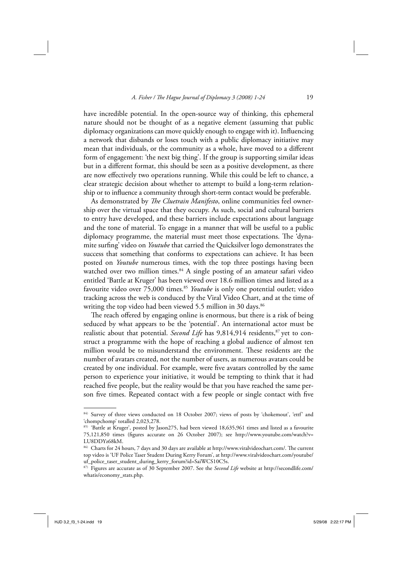have incredible potential. In the open-source way of thinking, this ephemeral nature should not be thought of as a negative element (assuming that public diplomacy organizations can move quickly enough to engage with it). Influencing a network that disbands or loses touch with a public diplomacy initiative may mean that individuals, or the community as a whole, have moved to a different form of engagement: 'the next big thing'. If the group is supporting similar ideas but in a different format, this should be seen as a positive development, as there are now effectively two operations running. While this could be left to chance, a clear strategic decision about whether to attempt to build a long-term relationship or to influence a community through short-term contact would be preferable.

As demonstrated by *The Cluetrain Manifesto*, online communities feel ownership over the virtual space that they occupy. As such, social and cultural barriers to entry have developed, and these barriers include expectations about language and the tone of material. To engage in a manner that will be useful to a public diplomacy programme, the material must meet those expectations. The 'dynamite surfing' video on *Youtube* that carried the Quicksilver logo demonstrates the success that something that conforms to expectations can achieve. It has been posted on *Youtube* numerous times, with the top three postings having been watched over two million times.<sup>84</sup> A single posting of an amateur safari video entitled 'Battle at Kruger' has been viewed over 18.6 million times and listed as a favourite video over 75,000 times.<sup>85</sup> *Youtube* is only one potential outlet; video tracking across the web is conduced by the Viral Video Chart, and at the time of writing the top video had been viewed 5.5 million in 30 days.<sup>86</sup>

The reach offered by engaging online is enormous, but there is a risk of being seduced by what appears to be the 'potential'. An international actor must be realistic about that potential. *Second Life* has 9,814,914 residents,<sup>87</sup> yet to construct a programme with the hope of reaching a global audience of almost ten million would be to misunderstand the environment. These residents are the number of avatars created, not the number of users, as numerous avatars could be created by one individual. For example, were five avatars controlled by the same person to experience your initiative, it would be tempting to think that it had reached five people, but the reality would be that you have reached the same person five times. Repeated contact with a few people or single contact with five

<sup>84)</sup> Survey of three views conducted on 18 October 2007; views of posts by 'chokemout', 'ettf' and 'chompchomp' totalled 2,023,278.

<sup>85) &#</sup>x27;Battle at Kruger', posted by Jason275, had been viewed 18,635,961 times and listed as a favourite 75,121,850 times (figures accurate on 26 October 2007); see http://www.youtube.com/watch?v= LU8DDYz68kM.

<sup>86)</sup> Charts for 24 hours, 7 days and 30 days are available at http://www.viralvideochart.com/. The current top video is 'UF Police Taser Student During Kerry Forum', at http://www.viralvideochart.com/youtube/ uf\_police\_taser\_student\_during\_kerry\_forum?id=SaiWCS10C5s.

<sup>87)</sup> Figures are accurate as of 30 September 2007. See the *Second Life* website at http://secondlife.com/ whatis/economy\_stats.php.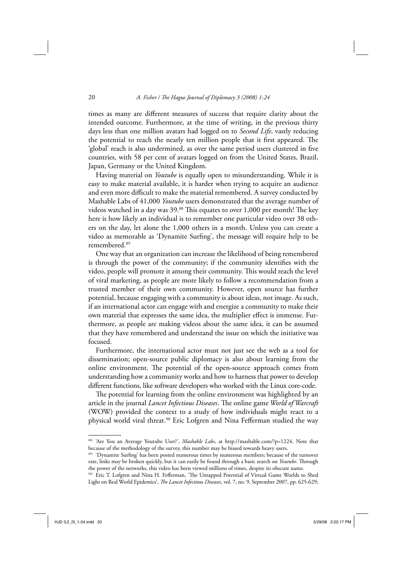times as many are different measures of success that require clarity about the intended outcome. Furthermore, at the time of writing, in the previous thirty days less than one million avatars had logged on to *Second Life*, vastly reducing the potential to reach the nearly ten million people that it first appeared. The 'global' reach is also undermined, as over the same period users clustered in five countries, with 58 per cent of avatars logged on from the United States, Brazil, Japan, Germany or the United Kingdom.

 Having material on *Youtube* is equally open to misunderstanding. While it is easy to make material available, it is harder when trying to acquire an audience and even more difficult to make the material remembered. A survey conducted by Mashable Labs of 41,000 *Youtube* users demonstrated that the average number of videos watched in a day was  $39.^{88}$  This equates to over 1,000 per month! The key here is how likely an individual is to remember one particular video over 38 others on the day, let alone the 1,000 others in a month. Unless you can create a video as memorable as 'Dynamite Surfing', the message will require help to be remembered.89

 One way that an organization can increase the likelihood of being remembered is through the power of the community; if the community identifies with the video, people will promote it among their community. This would reach the level of viral marketing, as people are more likely to follow a recommendation from a trusted member of their own community. However, open source has further potential, because engaging with a community is about ideas, not image. As such, if an international actor can engage with and energize a community to make their own material that expresses the same idea, the multiplier effect is immense. Furthermore, as people are making videos about the same idea, it can be assumed that they have remembered and understand the issue on which the initiative was focused.

 Furthermore, the international actor must not just see the web as a tool for dissemination; open-source public diplomacy is also about learning from the online environment. The potential of the open-source approach comes from understanding how a community works and how to harness that power to develop different functions, like software developers who worked with the Linux core-code.

The potential for learning from the online environment was highlighted by an article in the journal *Lancet Infectious Diseases*. The online game *World of Warcraft* (WOW) provided the context to a study of how individuals might react to a physical world viral threat.<sup>90</sup> Eric Lofgren and Nina Fefferman studied the way

<sup>88) &#</sup>x27;Are You an Average Youtube User?', *Mashable Labs*, at http://mashable.com/?p=1224. Note that because of the methodology of the survey, this number may be biased towards heavy users.

<sup>89) &#</sup>x27;Dynamite Surfing' has been posted numerous times by numerous members; because of the turnover rate, links may be broken quickly, but it can easily be found through a basic search on *Youtube*. Through the power of the networks, this video has been viewed millions of times, despite its obscure name.

<sup>90)</sup> Eric T. Lofgren and Nina H. Fefferman, 'The Untapped Potential of Virtual Game Worlds to Shed Light on Real World Epidemics', *The Lancet Infectious Diseases*, vol. 7, no. 9, September 2007, pp. 625-629;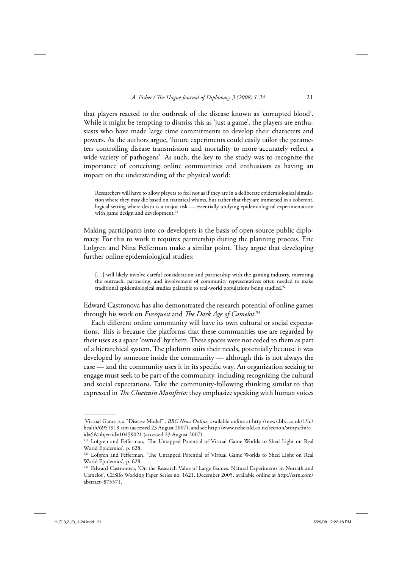that players reacted to the outbreak of the disease known as 'corrupted blood'. While it might be tempting to dismiss this as 'just a game', the players are enthusiasts who have made large time commitments to develop their characters and powers. As the authors argue, 'future experiments could easily tailor the parameters controlling disease transmission and mortality to more accurately reflect a wide variety of pathogens'. As such, the key to the study was to recognize the importance of conceiving online communities and enthusiasts as having an impact on the understanding of the physical world:

 Researchers will have to allow players to feel not as if they are in a deliberate epidemiological simulation where they may die based on statistical whims, but rather that they are immersed in a coherent, logical setting where death is a major risk — essentially unifying epidemiological experimentation with game design and development.<sup>91</sup>

 Making participants into co-developers is the basis of open-source public diplomacy. For this to work it requires partnership during the planning process. Eric Lofgren and Nina Fefferman make a similar point. They argue that developing further online epidemiological studies:

[...] will likely involve careful consideration and partnership with the gaming industry, mirroring the outreach, partnering, and involvement of community representatives often needed to make traditional epidemiological studies palatable to real-world populations being studied.<sup>92</sup>

 Edward Castronova has also demonstrated the research potential of online games through his work on *Everquest* and *The Dark Age of Camelot*.<sup>93</sup>

Each different online community will have its own cultural or social expectations. This is because the platforms that these communities use are regarded by their uses as a space 'owned' by them. These spaces were not ceded to them as part of a hierarchical system. The platform suits their needs, potentially because it was developed by someone inside the community — although this is not always the case — and the community uses it in its specific way. An organization seeking to engage must seek to be part of the community, including recognizing the cultural and social expectations. Take the community-following thinking similar to that expressed in *The Cluetrain Manifesto:* they emphasize speaking with human voices

<sup>&#</sup>x27;Virtual Game is a "Disease Model"', *BBC News Online*, available online at http://news.bbc.co.uk/1/hi/ health/6951918.stm (accessed 23 August 2007); and see http://www.nzherald.co.nz/section/story.cfm?c\_ id=5&objectid=10459021 (accessed 23 August 2007).

<sup>91)</sup> Lofgren and Fefferman, 'The Untapped Potential of Virtual Game Worlds to Shed Light on Real World Epidemics', p. 628.

<sup>92)</sup> Lofgren and Fefferman, 'The Untapped Potential of Virtual Game Worlds to Shed Light on Real World Epidemics', p. 628.

<sup>93)</sup> Edward Castronova, 'On the Research Value of Large Games: Natural Experiments in Norrath and Camelot', CESifo Working Paper Series no. 1621, December 2005, available online at http://ssrn.com/ abstract=875571.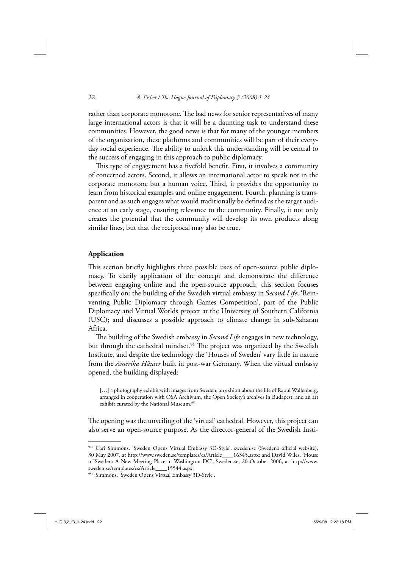rather than corporate monotone. The bad news for senior representatives of many large international actors is that it will be a daunting task to understand these communities. However, the good news is that for many of the younger members of the organization, these platforms and communities will be part of their everyday social experience. The ability to unlock this understanding will be central to the success of engaging in this approach to public diplomacy.

This type of engagement has a fivefold benefit. First, it involves a community of concerned actors. Second, it allows an international actor to speak not in the corporate monotone but a human voice. Third, it provides the opportunity to learn from historical examples and online engagement. Fourth, planning is transparent and as such engages what would traditionally be defined as the target audience at an early stage, ensuring relevance to the community. Finally, it not only creates the potential that the community will develop its own products along similar lines, but that the reciprocal may also be true.

# **Application**

This section briefly highlights three possible uses of open-source public diplomacy. To clarify application of the concept and demonstrate the difference between engaging online and the open-source approach, this section focuses specifically on: the building of the Swedish virtual embassy in S*econd Life*; 'Reinventing Public Diplomacy through Games Competition', part of the Public Diplomacy and Virtual Worlds project at the University of Southern California (USC); and discusses a possible approach to climate change in sub-Saharan Africa.

The building of the Swedish embassy in *Second Life* engages in new technology, but through the cathedral mindset.<sup>94</sup> The project was organized by the Swedish Institute, and despite the technology the 'Houses of Sweden' vary little in nature from the *Amerika Häuser* built in post-war Germany. When the virtual embassy opened, the building displayed:

[...] a photography exhibit with images from Sweden; an exhibit about the life of Raoul Wallenberg, arranged in cooperation with OSA Archivum, the Open Society's archives in Budapest; and an art exhibit curated by the National Museum.<sup>95</sup>

The opening was the unveiling of the 'virtual' cathedral. However, this project can also serve an open-source purpose. As the director-general of the Swedish Insti-

<sup>94)</sup> Cari Simmons, 'Sweden Opens Virtual Embassy 3D-Style', sweden.se (Sweden's official website), 30 May 2007, at http://www.sweden.se/templates/cs/Article\_\_\_\_16345.aspx; and David Wiles, 'House of Sweden: A New Meeting Place in Washington DC', Sweden.se, 20 October 2006, at http://www. sweden.se/templates/cs/Article\_\_\_\_15544.aspx.

<sup>95)</sup> Simmons, 'Sweden Opens Virtual Embassy 3D-Style'.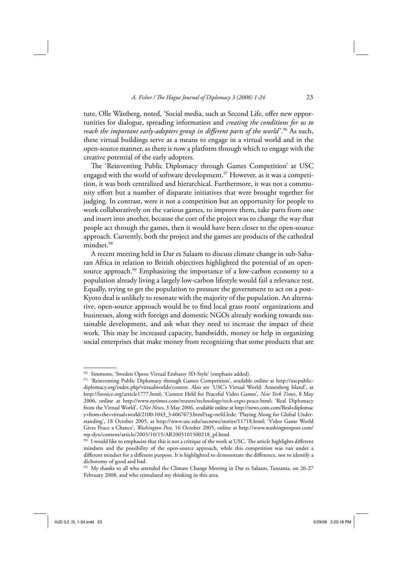tute, Olle Wästberg, noted, 'Social media, such as Second Life, offer new opportunities for dialogue, spreading information and *creating the conditions for us to reach the important early-adopters group in different parts of the world*'.<sup>96</sup> As such, these virtual buildings serve as a means to engage in a virtual world and in the open-source manner, as there is now a platform through which to engage with the creative potential of the early adopters.

The 'Reinventing Public Diplomacy through Games Competition' at USC engaged with the world of software development.97 However, as it was a competition, it was both centralized and hierarchical. Furthermore, it was not a community effort but a number of disparate initiatives that were brought together for judging. In contrast, were it not a competition but an opportunity for people to work collaboratively on the various games, to improve them, take parts from one and insert into another, because the core of the project was to change the way that people act through the games, then it would have been closer to the open-source approach. Currently, both the project and the games are products of the cathedral mindset.98

 A recent meeting held in Dar es Salaam to discuss climate change in sub-Saharan Africa in relation to British objectives highlighted the potential of an opensource approach.<sup>99</sup> Emphasizing the importance of a low-carbon economy to a population already living a largely low-carbon lifestyle would fail a relevance test. Equally, trying to get the population to pressure the government to act on a post-Kyoto deal is unlikely to resonate with the majority of the population. An alternative, open-source approach would be to find local grass roots' organizations and businesses, along with foreign and domestic NGOs already working towards sustainable development, and ask what they need to increase the impact of their work. This may be increased capacity, bandwidth, money or help in organizing social enterprises that make money from recognizing that some products that are

<sup>96)</sup> Simmons, 'Sweden Opens Virtual Embassy 3D-Style' (emphasis added).

<sup>97) &#</sup>x27;Reinventing Public Diplomacy through Games Competition', available online at http://uscpublicdiplomacy.org/index.php/virtualworlds/contest. Also see 'USC's Virtual World: Annenberg Island', at http://lavoice.org/article1777.html; 'Contest Held for Peaceful Video Games', *New York Times*, 8 May 2006, online at http://www.nytimes.com/reuters/technology/tech-expo-peace.html; 'Real Diplomacy from the Virtual World', *CNet News*, 3 May 2006, available online at http://news.com.com/Real+diplomac y+from+the+virtual+world/2100-1043\_3-6067673.html?tag=nefd.lede; 'Playing Along for Global Understanding', 18 October 2005, at http://www.usc.edu/uscnews/stories/11718.html; 'Video Game World Gives Peace a Chance', *Washington Post*, 16 October 2005, online at http://www.washingtonpost.com/ wp-dyn/content/article/2005/10/15/AR2005101500218\_pf.html.

<sup>98)</sup> I would like to emphasize that this is not a critique of the work at USC. The article highlights different mindsets and the possibility of the open-source approach, while this competition was run under a different mindset for a different purpose. It is highlighted to demonstrate the difference, not to identify a dichotomy of good and bad.

<sup>99)</sup> My thanks to all who attended the Climate Change Meeting in Dar es Salaam, Tanzania, on 26-27 February 2008, and who stimulated my thinking in this area.